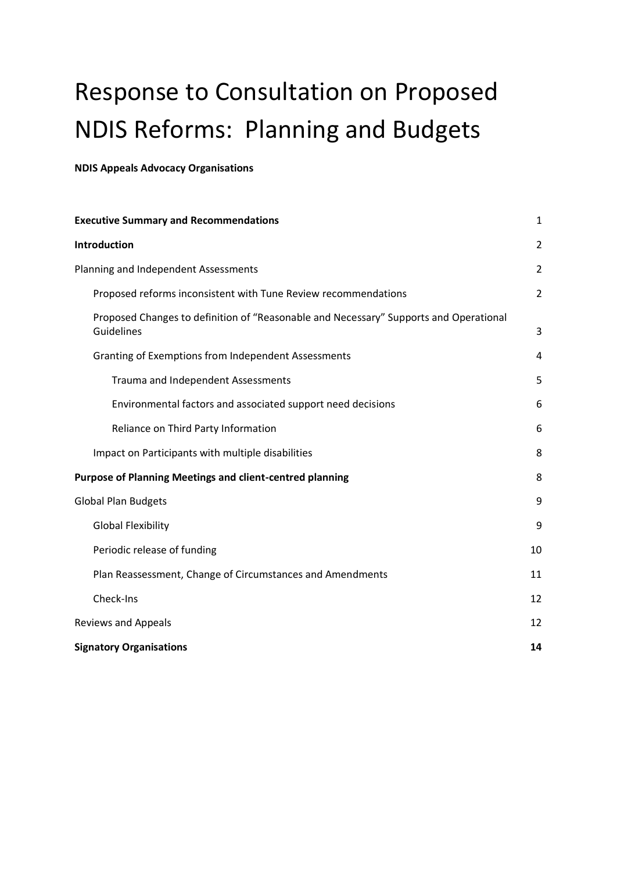# Response to Consultation on Proposed NDIS Reforms: Planning and Budgets

**NDIS Appeals Advocacy Organisations**

| <b>Executive Summary and Recommendations</b>                                                        | 1              |
|-----------------------------------------------------------------------------------------------------|----------------|
| <b>Introduction</b>                                                                                 | $\overline{2}$ |
| Planning and Independent Assessments                                                                | $\overline{2}$ |
| Proposed reforms inconsistent with Tune Review recommendations                                      | $\overline{2}$ |
| Proposed Changes to definition of "Reasonable and Necessary" Supports and Operational<br>Guidelines | 3              |
| Granting of Exemptions from Independent Assessments                                                 | 4              |
| Trauma and Independent Assessments                                                                  | 5              |
| Environmental factors and associated support need decisions                                         | 6              |
| Reliance on Third Party Information                                                                 | 6              |
| Impact on Participants with multiple disabilities                                                   | 8              |
| <b>Purpose of Planning Meetings and client-centred planning</b>                                     | 8              |
| <b>Global Plan Budgets</b>                                                                          | 9              |
| <b>Global Flexibility</b>                                                                           | 9              |
| Periodic release of funding                                                                         | 10             |
| Plan Reassessment, Change of Circumstances and Amendments                                           | 11             |
| Check-Ins                                                                                           | 12             |
| <b>Reviews and Appeals</b>                                                                          | 12             |
| <b>Signatory Organisations</b>                                                                      | 14             |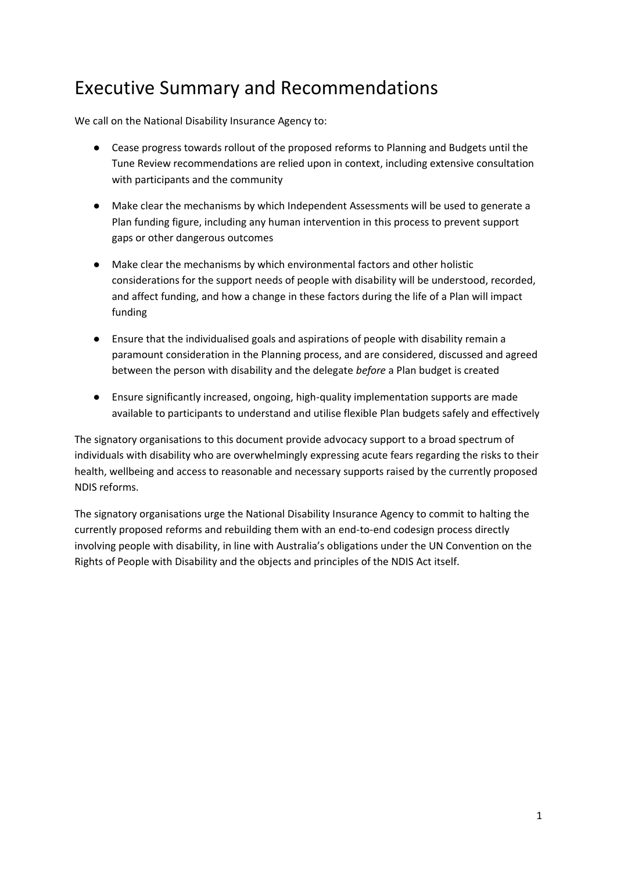## <span id="page-1-0"></span>Executive Summary and Recommendations

We call on the National Disability Insurance Agency to:

- Cease progress towards rollout of the proposed reforms to Planning and Budgets until the Tune Review recommendations are relied upon in context, including extensive consultation with participants and the community
- Make clear the mechanisms by which Independent Assessments will be used to generate a Plan funding figure, including any human intervention in this process to prevent support gaps or other dangerous outcomes
- Make clear the mechanisms by which environmental factors and other holistic considerations for the support needs of people with disability will be understood, recorded, and affect funding, and how a change in these factors during the life of a Plan will impact funding
- Ensure that the individualised goals and aspirations of people with disability remain a paramount consideration in the Planning process, and are considered, discussed and agreed between the person with disability and the delegate *before* a Plan budget is created
- Ensure significantly increased, ongoing, high-quality implementation supports are made available to participants to understand and utilise flexible Plan budgets safely and effectively

The signatory organisations to this document provide advocacy support to a broad spectrum of individuals with disability who are overwhelmingly expressing acute fears regarding the risks to their health, wellbeing and access to reasonable and necessary supports raised by the currently proposed NDIS reforms.

The signatory organisations urge the National Disability Insurance Agency to commit to halting the currently proposed reforms and rebuilding them with an end-to-end codesign process directly involving people with disability, in line with Australia's obligations under the UN Convention on the Rights of People with Disability and the objects and principles of the NDIS Act itself.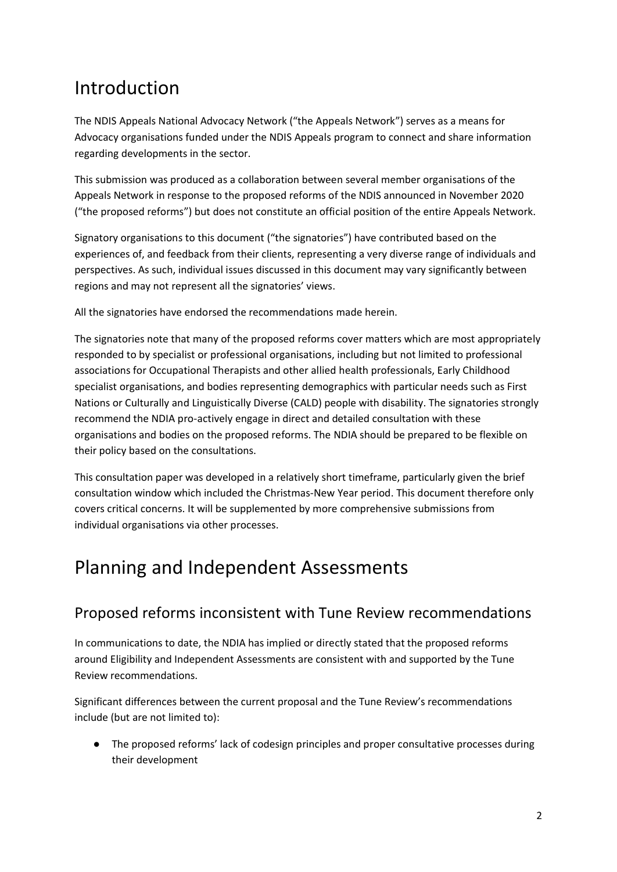## <span id="page-2-0"></span>Introduction

The NDIS Appeals National Advocacy Network ("the Appeals Network") serves as a means for Advocacy organisations funded under the NDIS Appeals program to connect and share information regarding developments in the sector.

This submission was produced as a collaboration between several member organisations of the Appeals Network in response to the proposed reforms of the NDIS announced in November 2020 ("the proposed reforms") but does not constitute an official position of the entire Appeals Network.

Signatory organisations to this document ("the signatories") have contributed based on the experiences of, and feedback from their clients, representing a very diverse range of individuals and perspectives. As such, individual issues discussed in this document may vary significantly between regions and may not represent all the signatories' views.

All the signatories have endorsed the recommendations made herein.

The signatories note that many of the proposed reforms cover matters which are most appropriately responded to by specialist or professional organisations, including but not limited to professional associations for Occupational Therapists and other allied health professionals, Early Childhood specialist organisations, and bodies representing demographics with particular needs such as First Nations or Culturally and Linguistically Diverse (CALD) people with disability. The signatories strongly recommend the NDIA pro-actively engage in direct and detailed consultation with these organisations and bodies on the proposed reforms. The NDIA should be prepared to be flexible on their policy based on the consultations.

This consultation paper was developed in a relatively short timeframe, particularly given the brief consultation window which included the Christmas-New Year period. This document therefore only covers critical concerns. It will be supplemented by more comprehensive submissions from individual organisations via other processes.

## <span id="page-2-1"></span>Planning and Independent Assessments

#### <span id="page-2-2"></span>Proposed reforms inconsistent with Tune Review recommendations

In communications to date, the NDIA has implied or directly stated that the proposed reforms around Eligibility and Independent Assessments are consistent with and supported by the Tune Review recommendations.

Significant differences between the current proposal and the Tune Review's recommendations include (but are not limited to):

● The proposed reforms' lack of codesign principles and proper consultative processes during their development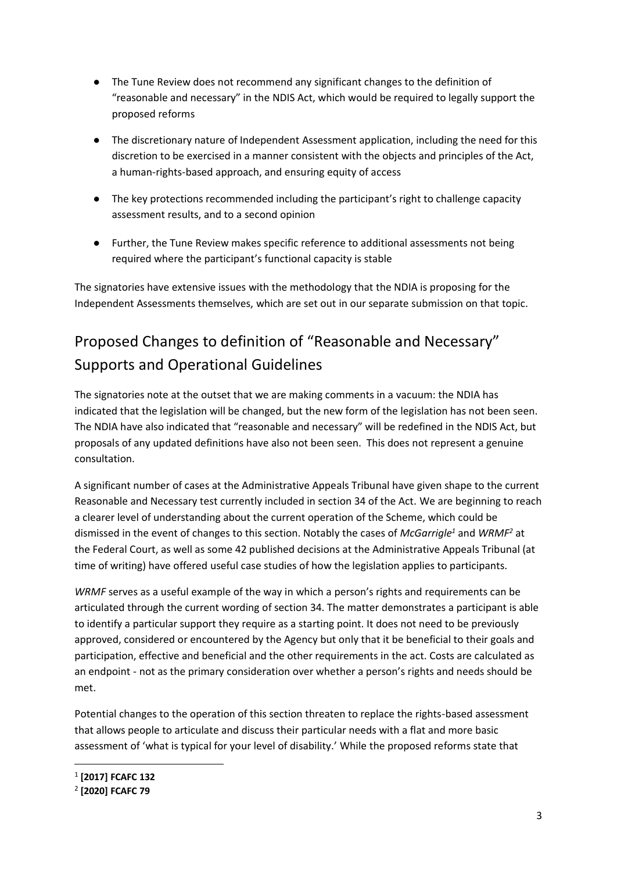- The Tune Review does not recommend any significant changes to the definition of "reasonable and necessary" in the NDIS Act, which would be required to legally support the proposed reforms
- The discretionary nature of Independent Assessment application, including the need for this discretion to be exercised in a manner consistent with the objects and principles of the Act, a human-rights-based approach, and ensuring equity of access
- The key protections recommended including the participant's right to challenge capacity assessment results, and to a second opinion
- Further, the Tune Review makes specific reference to additional assessments not being required where the participant's functional capacity is stable

The signatories have extensive issues with the methodology that the NDIA is proposing for the Independent Assessments themselves, which are set out in our separate submission on that topic.

### <span id="page-3-0"></span>Proposed Changes to definition of "Reasonable and Necessary" Supports and Operational Guidelines

The signatories note at the outset that we are making comments in a vacuum: the NDIA has indicated that the legislation will be changed, but the new form of the legislation has not been seen. The NDIA have also indicated that "reasonable and necessary" will be redefined in the NDIS Act, but proposals of any updated definitions have also not been seen. This does not represent a genuine consultation.

A significant number of cases at the Administrative Appeals Tribunal have given shape to the current Reasonable and Necessary test currently included in section 34 of the Act. We are beginning to reach a clearer level of understanding about the current operation of the Scheme, which could be dismissed in the event of changes to this section. Notably the cases of *McGarrigle<sup>1</sup>* and *WRMF<sup>2</sup>* at the Federal Court, as well as some 42 published decisions at the Administrative Appeals Tribunal (at time of writing) have offered useful case studies of how the legislation applies to participants.

*WRMF* serves as a useful example of the way in which a person's rights and requirements can be articulated through the current wording of section 34. The matter demonstrates a participant is able to identify a particular support they require as a starting point. It does not need to be previously approved, considered or encountered by the Agency but only that it be beneficial to their goals and participation, effective and beneficial and the other requirements in the act. Costs are calculated as an endpoint - not as the primary consideration over whether a person's rights and needs should be met.

Potential changes to the operation of this section threaten to replace the rights-based assessment that allows people to articulate and discuss their particular needs with a flat and more basic assessment of 'what is typical for your level of disability.' While the proposed reforms state that

<sup>1</sup> **[2017] FCAFC 132** 

<sup>2</sup> **[2020] FCAFC 79**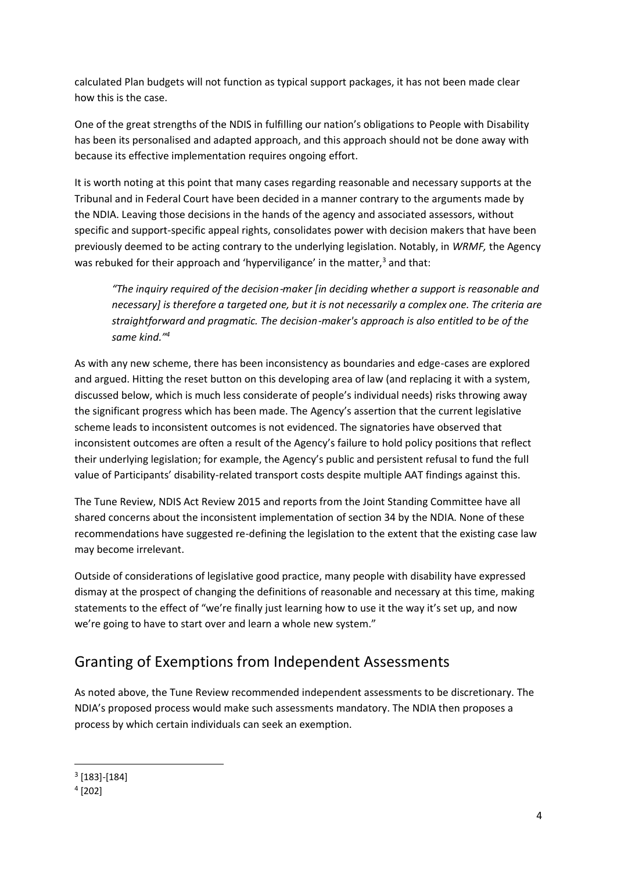calculated Plan budgets will not function as typical support packages, it has not been made clear how this is the case.

One of the great strengths of the NDIS in fulfilling our nation's obligations to People with Disability has been its personalised and adapted approach, and this approach should not be done away with because its effective implementation requires ongoing effort.

It is worth noting at this point that many cases regarding reasonable and necessary supports at the Tribunal and in Federal Court have been decided in a manner contrary to the arguments made by the NDIA. Leaving those decisions in the hands of the agency and associated assessors, without specific and support-specific appeal rights, consolidates power with decision makers that have been previously deemed to be acting contrary to the underlying legislation. Notably, in *WRMF,* the Agency was rebuked for their approach and 'hyperviligance' in the matter,<sup>3</sup> and that:

*"The inquiry required of the decision*‑*maker [in deciding whether a support is reasonable and necessary] is therefore a targeted one, but it is not necessarily a complex one. The criteria are straightforward and pragmatic. The decision*‑*maker's approach is also entitled to be of the same kind."<sup>4</sup>*

As with any new scheme, there has been inconsistency as boundaries and edge-cases are explored and argued. Hitting the reset button on this developing area of law (and replacing it with a system, discussed below, which is much less considerate of people's individual needs) risks throwing away the significant progress which has been made. The Agency's assertion that the current legislative scheme leads to inconsistent outcomes is not evidenced. The signatories have observed that inconsistent outcomes are often a result of the Agency's failure to hold policy positions that reflect their underlying legislation; for example, the Agency's public and persistent refusal to fund the full value of Participants' disability-related transport costs despite multiple AAT findings against this.

The Tune Review, NDIS Act Review 2015 and reports from the Joint Standing Committee have all shared concerns about the inconsistent implementation of section 34 by the NDIA. None of these recommendations have suggested re-defining the legislation to the extent that the existing case law may become irrelevant.

Outside of considerations of legislative good practice, many people with disability have expressed dismay at the prospect of changing the definitions of reasonable and necessary at this time, making statements to the effect of "we're finally just learning how to use it the way it's set up, and now we're going to have to start over and learn a whole new system."

#### <span id="page-4-0"></span>Granting of Exemptions from Independent Assessments

As noted above, the Tune Review recommended independent assessments to be discretionary. The NDIA's proposed process would make such assessments mandatory. The NDIA then proposes a process by which certain individuals can seek an exemption.

 $3$  [183]-[184]

<sup>4</sup> [202]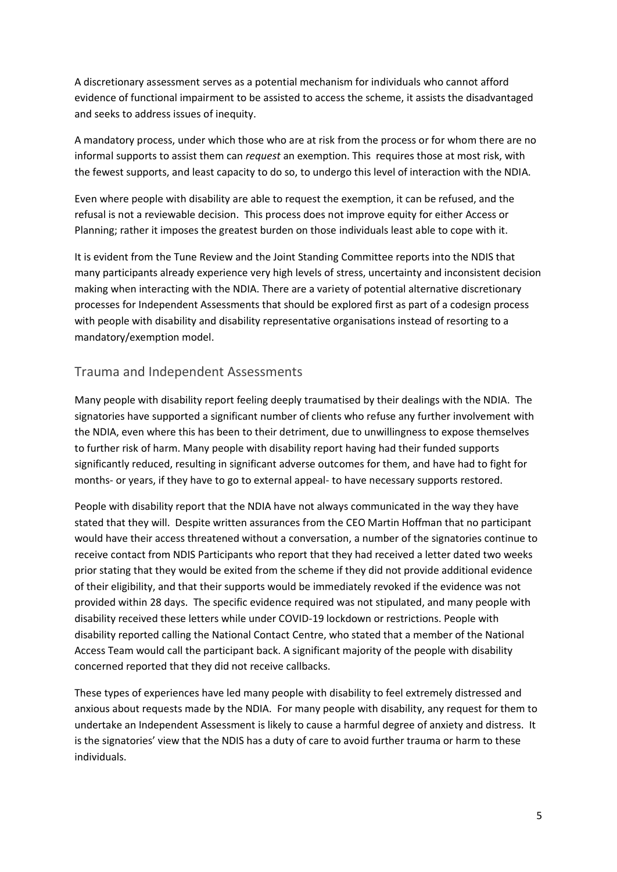A discretionary assessment serves as a potential mechanism for individuals who cannot afford evidence of functional impairment to be assisted to access the scheme, it assists the disadvantaged and seeks to address issues of inequity.

A mandatory process, under which those who are at risk from the process or for whom there are no informal supports to assist them can *request* an exemption. This requires those at most risk, with the fewest supports, and least capacity to do so, to undergo this level of interaction with the NDIA.

Even where people with disability are able to request the exemption, it can be refused, and the refusal is not a reviewable decision. This process does not improve equity for either Access or Planning; rather it imposes the greatest burden on those individuals least able to cope with it.

It is evident from the Tune Review and the Joint Standing Committee reports into the NDIS that many participants already experience very high levels of stress, uncertainty and inconsistent decision making when interacting with the NDIA. There are a variety of potential alternative discretionary processes for Independent Assessments that should be explored first as part of a codesign process with people with disability and disability representative organisations instead of resorting to a mandatory/exemption model.

#### <span id="page-5-0"></span>Trauma and Independent Assessments

Many people with disability report feeling deeply traumatised by their dealings with the NDIA. The signatories have supported a significant number of clients who refuse any further involvement with the NDIA, even where this has been to their detriment, due to unwillingness to expose themselves to further risk of harm. Many people with disability report having had their funded supports significantly reduced, resulting in significant adverse outcomes for them, and have had to fight for months- or years, if they have to go to external appeal- to have necessary supports restored.

People with disability report that the NDIA have not always communicated in the way they have stated that they will. Despite written assurances from the CEO Martin Hoffman that no participant would have their access threatened without a conversation, a number of the signatories continue to receive contact from NDIS Participants who report that they had received a letter dated two weeks prior stating that they would be exited from the scheme if they did not provide additional evidence of their eligibility, and that their supports would be immediately revoked if the evidence was not provided within 28 days. The specific evidence required was not stipulated, and many people with disability received these letters while under COVID-19 lockdown or restrictions. People with disability reported calling the National Contact Centre, who stated that a member of the National Access Team would call the participant back. A significant majority of the people with disability concerned reported that they did not receive callbacks.

These types of experiences have led many people with disability to feel extremely distressed and anxious about requests made by the NDIA. For many people with disability, any request for them to undertake an Independent Assessment is likely to cause a harmful degree of anxiety and distress. It is the signatories' view that the NDIS has a duty of care to avoid further trauma or harm to these individuals.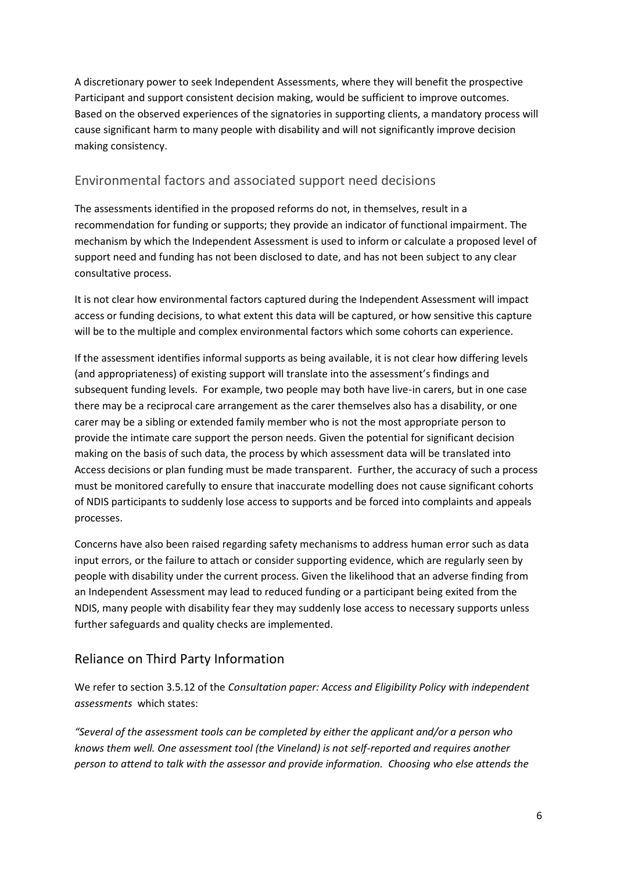A discretionary power to seek Independent Assessments, where they will benefit the prospective Participant and support consistent decision making, would be sufficient to improve outcomes. Based on the observed experiences of the signatories in supporting clients, a mandatory process will cause significant harm to many people with disability and will not significantly improve decision making consistency.

#### <span id="page-6-0"></span>Environmental factors and associated support need decisions

The assessments identified in the proposed reforms do not, in themselves, result in a recommendation for funding or supports; they provide an indicator of functional impairment. The mechanism by which the Independent Assessment is used to inform or calculate a proposed level of support need and funding has not been disclosed to date, and has not been subject to any clear consultative process.

It is not clear how environmental factors captured during the Independent Assessment will impact access or funding decisions, to what extent this data will be captured, or how sensitive this capture will be to the multiple and complex environmental factors which some cohorts can experience.

If the assessment identifies informal supports as being available, it is not clear how differing levels (and appropriateness) of existing support will translate into the assessment's findings and subsequent funding levels. For example, two people may both have live-in carers, but in one case there may be a reciprocal care arrangement as the carer themselves also has a disability, or one carer may be a sibling or extended family member who is not the most appropriate person to provide the intimate care support the person needs. Given the potential for significant decision making on the basis of such data, the process by which assessment data will be translated into Access decisions or plan funding must be made transparent. Further, the accuracy of such a process must be monitored carefully to ensure that inaccurate modelling does not cause significant cohorts of NDIS participants to suddenly lose access to supports and be forced into complaints and appeals processes.

Concerns have also been raised regarding safety mechanisms to address human error such as data input errors, or the failure to attach or consider supporting evidence, which are regularly seen by people with disability under the current process. Given the likelihood that an adverse finding from an Independent Assessment may lead to reduced funding or a participant being exited from the NDIS, many people with disability fear they may suddenly lose access to necessary supports unless further safeguards and quality checks are implemented.

#### <span id="page-6-1"></span>Reliance on Third Party Information

We refer to section 3.5.12 of the *Consultation paper: Access and Eligibility Policy with independent assessments* which states:

*"Several of the assessment tools can be completed by either the applicant and/or a person who knows them well. One assessment tool (the Vineland) is not self-reported and requires another person to attend to talk with the assessor and provide information. Choosing who else attends the*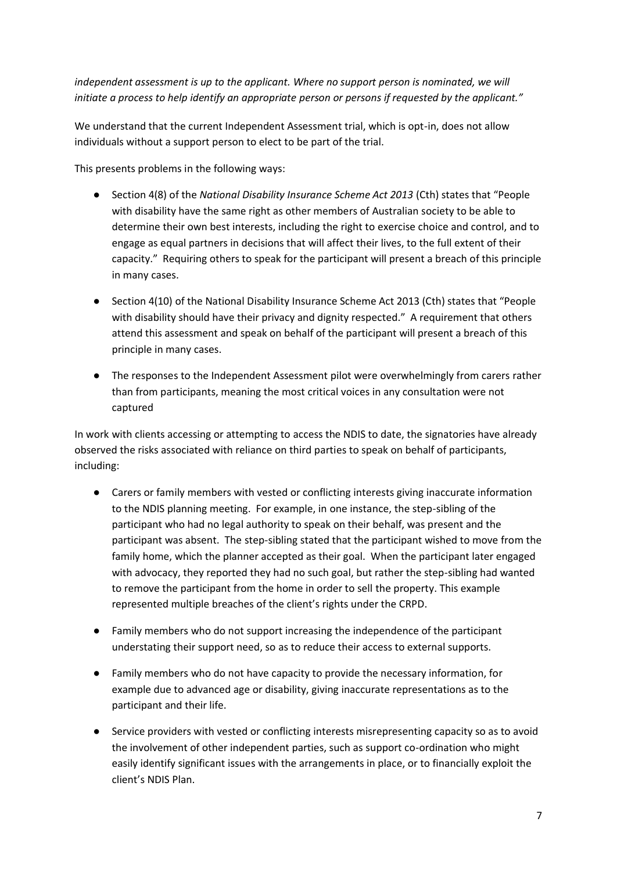independent assessment is up to the applicant. Where no support person is nominated, we will *initiate a process to help identify an appropriate person or persons if requested by the applicant."*

We understand that the current Independent Assessment trial, which is opt-in, does not allow individuals without a support person to elect to be part of the trial.

This presents problems in the following ways:

- Section 4(8) of the *National Disability Insurance Scheme Act 2013* (Cth) states that "People with disability have the same right as other members of Australian society to be able to determine their own best interests, including the right to exercise choice and control, and to engage as equal partners in decisions that will affect their lives, to the full extent of their capacity." Requiring others to speak for the participant will present a breach of this principle in many cases.
- Section 4(10) of the National Disability Insurance Scheme Act 2013 (Cth) states that "People with disability should have their privacy and dignity respected." A requirement that others attend this assessment and speak on behalf of the participant will present a breach of this principle in many cases.
- The responses to the Independent Assessment pilot were overwhelmingly from carers rather than from participants, meaning the most critical voices in any consultation were not captured

In work with clients accessing or attempting to access the NDIS to date, the signatories have already observed the risks associated with reliance on third parties to speak on behalf of participants, including:

- Carers or family members with vested or conflicting interests giving inaccurate information to the NDIS planning meeting. For example, in one instance, the step-sibling of the participant who had no legal authority to speak on their behalf, was present and the participant was absent. The step-sibling stated that the participant wished to move from the family home, which the planner accepted as their goal. When the participant later engaged with advocacy, they reported they had no such goal, but rather the step-sibling had wanted to remove the participant from the home in order to sell the property. This example represented multiple breaches of the client's rights under the CRPD.
- Family members who do not support increasing the independence of the participant understating their support need, so as to reduce their access to external supports.
- Family members who do not have capacity to provide the necessary information, for example due to advanced age or disability, giving inaccurate representations as to the participant and their life.
- Service providers with vested or conflicting interests misrepresenting capacity so as to avoid the involvement of other independent parties, such as support co-ordination who might easily identify significant issues with the arrangements in place, or to financially exploit the client's NDIS Plan.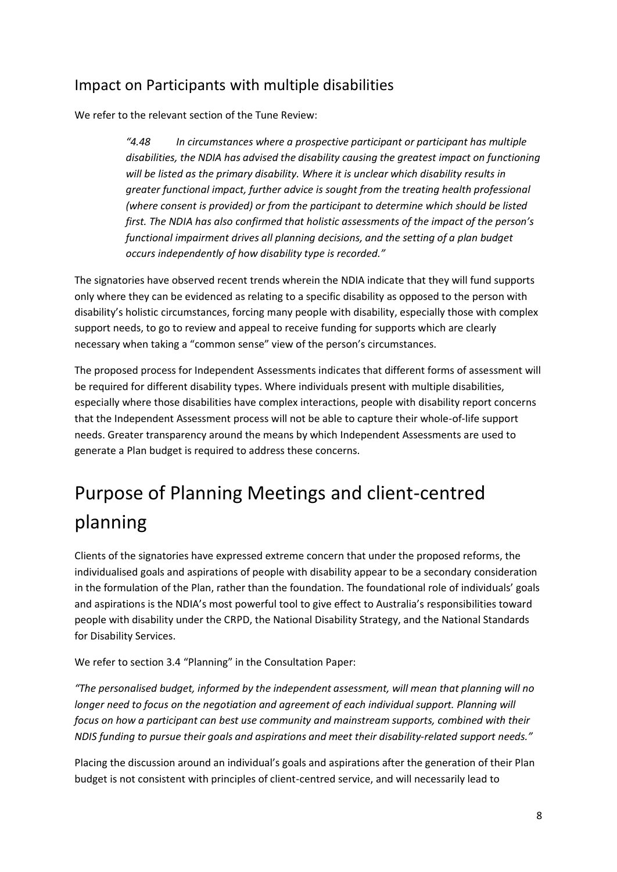#### <span id="page-8-0"></span>Impact on Participants with multiple disabilities

We refer to the relevant section of the Tune Review:

*"4.48 In circumstances where a prospective participant or participant has multiple disabilities, the NDIA has advised the disability causing the greatest impact on functioning will be listed as the primary disability. Where it is unclear which disability results in greater functional impact, further advice is sought from the treating health professional (where consent is provided) or from the participant to determine which should be listed first. The NDIA has also confirmed that holistic assessments of the impact of the person's functional impairment drives all planning decisions, and the setting of a plan budget occurs independently of how disability type is recorded."*

The signatories have observed recent trends wherein the NDIA indicate that they will fund supports only where they can be evidenced as relating to a specific disability as opposed to the person with disability's holistic circumstances, forcing many people with disability, especially those with complex support needs, to go to review and appeal to receive funding for supports which are clearly necessary when taking a "common sense" view of the person's circumstances.

The proposed process for Independent Assessments indicates that different forms of assessment will be required for different disability types. Where individuals present with multiple disabilities, especially where those disabilities have complex interactions, people with disability report concerns that the Independent Assessment process will not be able to capture their whole-of-life support needs. Greater transparency around the means by which Independent Assessments are used to generate a Plan budget is required to address these concerns.

## <span id="page-8-1"></span>Purpose of Planning Meetings and client-centred planning

Clients of the signatories have expressed extreme concern that under the proposed reforms, the individualised goals and aspirations of people with disability appear to be a secondary consideration in the formulation of the Plan, rather than the foundation. The foundational role of individuals' goals and aspirations is the NDIA's most powerful tool to give effect to Australia's responsibilities toward people with disability under the CRPD, the National Disability Strategy, and the National Standards for Disability Services.

We refer to section 3.4 "Planning" in the Consultation Paper:

*"The personalised budget, informed by the independent assessment, will mean that planning will no longer need to focus on the negotiation and agreement of each individual support. Planning will focus on how a participant can best use community and mainstream supports, combined with their NDIS funding to pursue their goals and aspirations and meet their disability-related support needs."* 

Placing the discussion around an individual's goals and aspirations after the generation of their Plan budget is not consistent with principles of client-centred service, and will necessarily lead to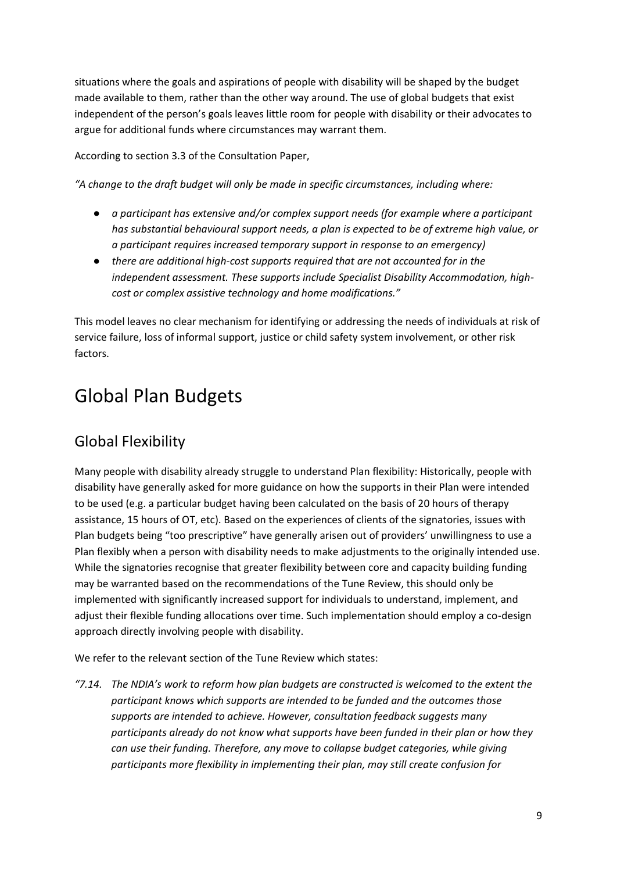situations where the goals and aspirations of people with disability will be shaped by the budget made available to them, rather than the other way around. The use of global budgets that exist independent of the person's goals leaves little room for people with disability or their advocates to argue for additional funds where circumstances may warrant them.

According to section 3.3 of the Consultation Paper,

*"A change to the draft budget will only be made in specific circumstances, including where:*

- *a participant has extensive and/or complex support needs (for example where a participant has substantial behavioural support needs, a plan is expected to be of extreme high value, or a participant requires increased temporary support in response to an emergency)*
- *there are additional high-cost supports required that are not accounted for in the independent assessment. These supports include Specialist Disability Accommodation, highcost or complex assistive technology and home modifications."*

This model leaves no clear mechanism for identifying or addressing the needs of individuals at risk of service failure, loss of informal support, justice or child safety system involvement, or other risk factors.

## <span id="page-9-0"></span>Global Plan Budgets

#### <span id="page-9-1"></span>Global Flexibility

Many people with disability already struggle to understand Plan flexibility: Historically, people with disability have generally asked for more guidance on how the supports in their Plan were intended to be used (e.g. a particular budget having been calculated on the basis of 20 hours of therapy assistance, 15 hours of OT, etc). Based on the experiences of clients of the signatories, issues with Plan budgets being "too prescriptive" have generally arisen out of providers' unwillingness to use a Plan flexibly when a person with disability needs to make adjustments to the originally intended use. While the signatories recognise that greater flexibility between core and capacity building funding may be warranted based on the recommendations of the Tune Review, this should only be implemented with significantly increased support for individuals to understand, implement, and adjust their flexible funding allocations over time. Such implementation should employ a co-design approach directly involving people with disability.

We refer to the relevant section of the Tune Review which states:

*"7.14. The NDIA's work to reform how plan budgets are constructed is welcomed to the extent the participant knows which supports are intended to be funded and the outcomes those supports are intended to achieve. However, consultation feedback suggests many participants already do not know what supports have been funded in their plan or how they can use their funding. Therefore, any move to collapse budget categories, while giving participants more flexibility in implementing their plan, may still create confusion for*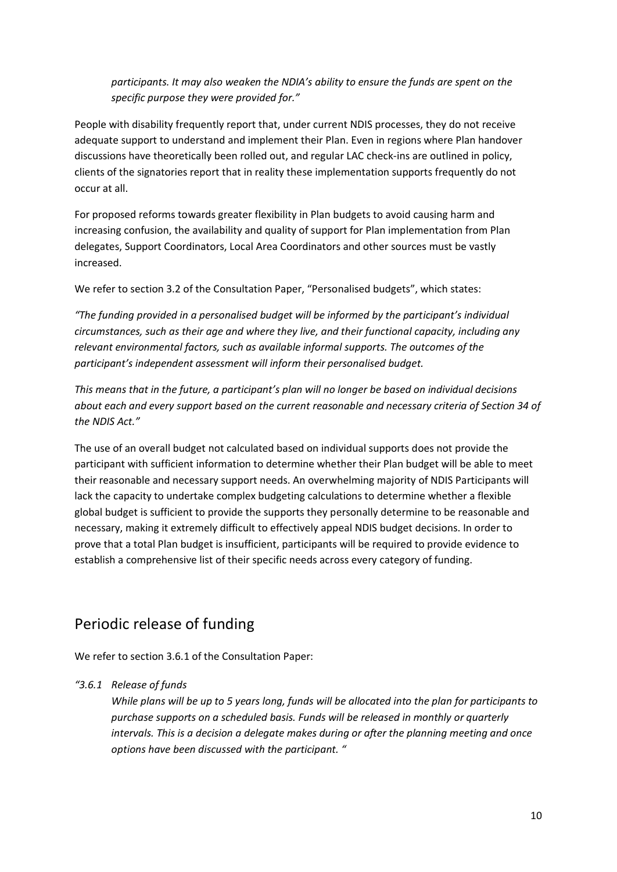*participants. It may also weaken the NDIA's ability to ensure the funds are spent on the specific purpose they were provided for."*

People with disability frequently report that, under current NDIS processes, they do not receive adequate support to understand and implement their Plan. Even in regions where Plan handover discussions have theoretically been rolled out, and regular LAC check-ins are outlined in policy, clients of the signatories report that in reality these implementation supports frequently do not occur at all.

For proposed reforms towards greater flexibility in Plan budgets to avoid causing harm and increasing confusion, the availability and quality of support for Plan implementation from Plan delegates, Support Coordinators, Local Area Coordinators and other sources must be vastly increased.

We refer to section 3.2 of the Consultation Paper, "Personalised budgets", which states:

*"The funding provided in a personalised budget will be informed by the participant's individual circumstances, such as their age and where they live, and their functional capacity, including any relevant environmental factors, such as available informal supports. The outcomes of the participant's independent assessment will inform their personalised budget.*

*This means that in the future, a participant's plan will no longer be based on individual decisions about each and every support based on the current reasonable and necessary criteria of Section 34 of the NDIS Act."*

The use of an overall budget not calculated based on individual supports does not provide the participant with sufficient information to determine whether their Plan budget will be able to meet their reasonable and necessary support needs. An overwhelming majority of NDIS Participants will lack the capacity to undertake complex budgeting calculations to determine whether a flexible global budget is sufficient to provide the supports they personally determine to be reasonable and necessary, making it extremely difficult to effectively appeal NDIS budget decisions. In order to prove that a total Plan budget is insufficient, participants will be required to provide evidence to establish a comprehensive list of their specific needs across every category of funding.

#### <span id="page-10-0"></span>Periodic release of funding

We refer to section 3.6.1 of the Consultation Paper:

#### *"3.6.1 Release of funds*

*While plans will be up to 5 years long, funds will be allocated into the plan for participants to purchase supports on a scheduled basis. Funds will be released in monthly or quarterly intervals. This is a decision a delegate makes during or after the planning meeting and once options have been discussed with the participant. "*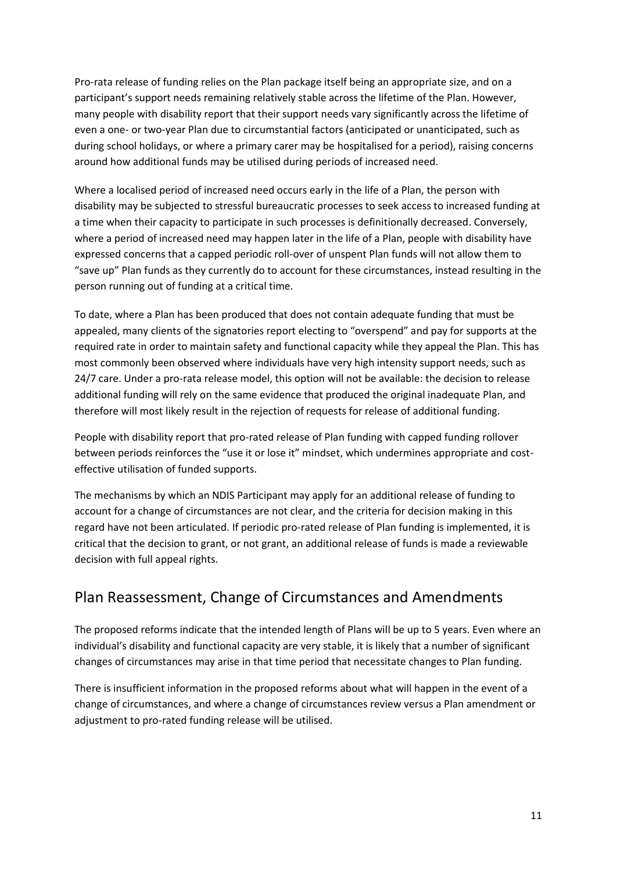Pro-rata release of funding relies on the Plan package itself being an appropriate size, and on a participant's support needs remaining relatively stable across the lifetime of the Plan. However, many people with disability report that their support needs vary significantly across the lifetime of even a one- or two-year Plan due to circumstantial factors (anticipated or unanticipated, such as during school holidays, or where a primary carer may be hospitalised for a period), raising concerns around how additional funds may be utilised during periods of increased need.

Where a localised period of increased need occurs early in the life of a Plan, the person with disability may be subjected to stressful bureaucratic processes to seek access to increased funding at a time when their capacity to participate in such processes is definitionally decreased. Conversely, where a period of increased need may happen later in the life of a Plan, people with disability have expressed concerns that a capped periodic roll-over of unspent Plan funds will not allow them to "save up" Plan funds as they currently do to account for these circumstances, instead resulting in the person running out of funding at a critical time.

To date, where a Plan has been produced that does not contain adequate funding that must be appealed, many clients of the signatories report electing to "overspend" and pay for supports at the required rate in order to maintain safety and functional capacity while they appeal the Plan. This has most commonly been observed where individuals have very high intensity support needs, such as 24/7 care. Under a pro-rata release model, this option will not be available: the decision to release additional funding will rely on the same evidence that produced the original inadequate Plan, and therefore will most likely result in the rejection of requests for release of additional funding.

People with disability report that pro-rated release of Plan funding with capped funding rollover between periods reinforces the "use it or lose it" mindset, which undermines appropriate and costeffective utilisation of funded supports.

The mechanisms by which an NDIS Participant may apply for an additional release of funding to account for a change of circumstances are not clear, and the criteria for decision making in this regard have not been articulated. If periodic pro-rated release of Plan funding is implemented, it is critical that the decision to grant, or not grant, an additional release of funds is made a reviewable decision with full appeal rights.

#### <span id="page-11-0"></span>Plan Reassessment, Change of Circumstances and Amendments

The proposed reforms indicate that the intended length of Plans will be up to 5 years. Even where an individual's disability and functional capacity are very stable, it is likely that a number of significant changes of circumstances may arise in that time period that necessitate changes to Plan funding.

There is insufficient information in the proposed reforms about what will happen in the event of a change of circumstances, and where a change of circumstances review versus a Plan amendment or adjustment to pro-rated funding release will be utilised.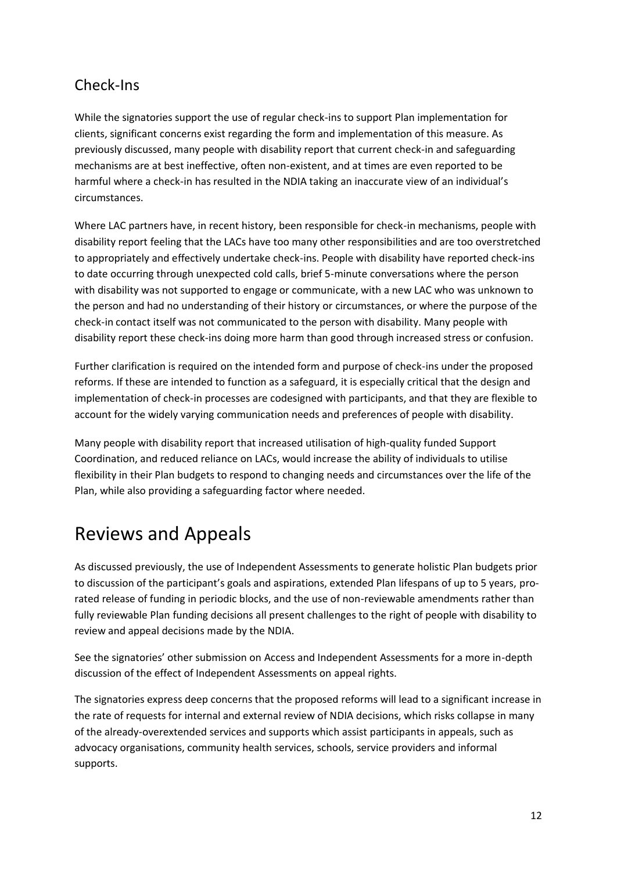#### <span id="page-12-0"></span>Check-Ins

While the signatories support the use of regular check-ins to support Plan implementation for clients, significant concerns exist regarding the form and implementation of this measure. As previously discussed, many people with disability report that current check-in and safeguarding mechanisms are at best ineffective, often non-existent, and at times are even reported to be harmful where a check-in has resulted in the NDIA taking an inaccurate view of an individual's circumstances.

Where LAC partners have, in recent history, been responsible for check-in mechanisms, people with disability report feeling that the LACs have too many other responsibilities and are too overstretched to appropriately and effectively undertake check-ins. People with disability have reported check-ins to date occurring through unexpected cold calls, brief 5-minute conversations where the person with disability was not supported to engage or communicate, with a new LAC who was unknown to the person and had no understanding of their history or circumstances, or where the purpose of the check-in contact itself was not communicated to the person with disability. Many people with disability report these check-ins doing more harm than good through increased stress or confusion.

Further clarification is required on the intended form and purpose of check-ins under the proposed reforms. If these are intended to function as a safeguard, it is especially critical that the design and implementation of check-in processes are codesigned with participants, and that they are flexible to account for the widely varying communication needs and preferences of people with disability.

Many people with disability report that increased utilisation of high-quality funded Support Coordination, and reduced reliance on LACs, would increase the ability of individuals to utilise flexibility in their Plan budgets to respond to changing needs and circumstances over the life of the Plan, while also providing a safeguarding factor where needed.

## <span id="page-12-1"></span>Reviews and Appeals

As discussed previously, the use of Independent Assessments to generate holistic Plan budgets prior to discussion of the participant's goals and aspirations, extended Plan lifespans of up to 5 years, prorated release of funding in periodic blocks, and the use of non-reviewable amendments rather than fully reviewable Plan funding decisions all present challenges to the right of people with disability to review and appeal decisions made by the NDIA.

See the signatories' other submission on Access and Independent Assessments for a more in-depth discussion of the effect of Independent Assessments on appeal rights.

The signatories express deep concerns that the proposed reforms will lead to a significant increase in the rate of requests for internal and external review of NDIA decisions, which risks collapse in many of the already-overextended services and supports which assist participants in appeals, such as advocacy organisations, community health services, schools, service providers and informal supports.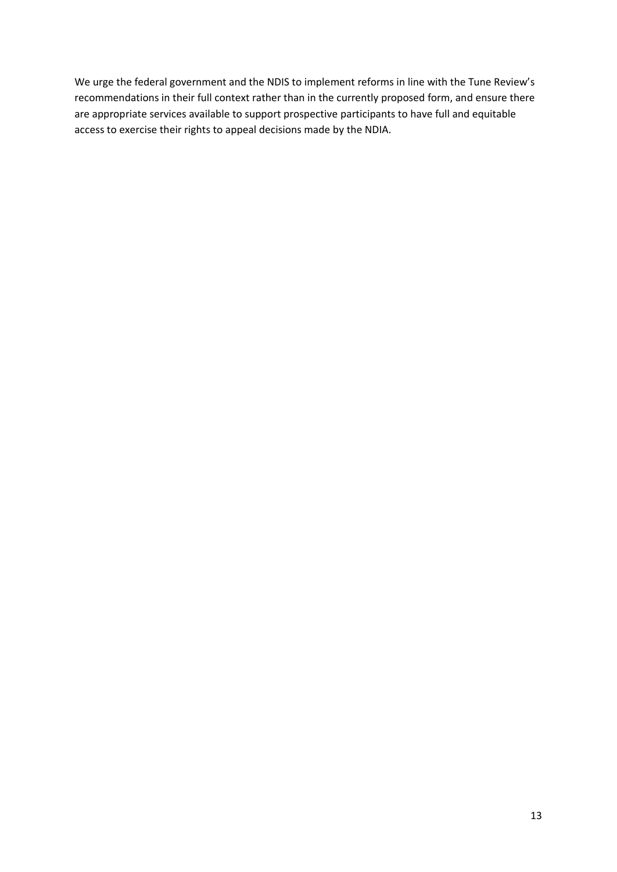We urge the federal government and the NDIS to implement reforms in line with the Tune Review's recommendations in their full context rather than in the currently proposed form, and ensure there are appropriate services available to support prospective participants to have full and equitable access to exercise their rights to appeal decisions made by the NDIA.